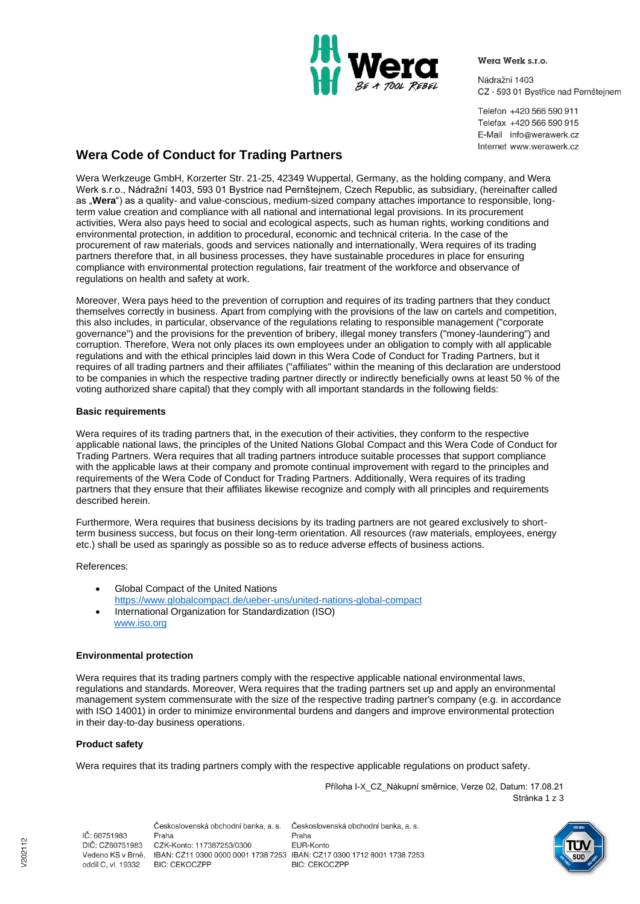

Wera Werk s.r.o.

Nádražní 1403 CZ - 593 01 Bystřice nad Pernštejnem

Telefon +420 566 590 911 Telefax +420 566 590 915 E-Mail info@werawerk.cz Internet www.werawerk.cz

# **Wera Code of Conduct for Trading Partners**

Wera Werkzeuge GmbH, Korzerter Str. 21-25, 42349 Wuppertal, Germany, as the holding company, and Wera Werk s.r.o., Nádražní 1403, 593 01 Bystrice nad Pernštejnem, Czech Republic, as subsidiary, (hereinafter called as "**Wera**") as a quality- and value-conscious, medium-sized company attaches importance to responsible, longterm value creation and compliance with all national and international legal provisions. In its procurement activities, Wera also pays heed to social and ecological aspects, such as human rights, working conditions and environmental protection, in addition to procedural, economic and technical criteria. In the case of the procurement of raw materials, goods and services nationally and internationally, Wera requires of its trading partners therefore that, in all business processes, they have sustainable procedures in place for ensuring compliance with environmental protection regulations, fair treatment of the workforce and observance of regulations on health and safety at work.

Moreover, Wera pays heed to the prevention of corruption and requires of its trading partners that they conduct themselves correctly in business. Apart from complying with the provisions of the law on cartels and competition, this also includes, in particular, observance of the regulations relating to responsible management ("corporate governance") and the provisions for the prevention of bribery, illegal money transfers ("money-laundering") and corruption. Therefore, Wera not only places its own employees under an obligation to comply with all applicable regulations and with the ethical principles laid down in this Wera Code of Conduct for Trading Partners, but it requires of all trading partners and their affiliates ("affiliates" within the meaning of this declaration are understood to be companies in which the respective trading partner directly or indirectly beneficially owns at least 50 % of the voting authorized share capital) that they comply with all important standards in the following fields:

#### **Basic requirements**

Wera requires of its trading partners that, in the execution of their activities, they conform to the respective applicable national laws, the principles of the United Nations Global Compact and this Wera Code of Conduct for Trading Partners. Wera requires that all trading partners introduce suitable processes that support compliance with the applicable laws at their company and promote continual improvement with regard to the principles and requirements of the Wera Code of Conduct for Trading Partners. Additionally, Wera requires of its trading partners that they ensure that their affiliates likewise recognize and comply with all principles and requirements described herein.

Furthermore, Wera requires that business decisions by its trading partners are not geared exclusively to shortterm business success, but focus on their long-term orientation. All resources (raw materials, employees, energy etc.) shall be used as sparingly as possible so as to reduce adverse effects of business actions.

References:

- Global Compact of the United Nations <https://www.globalcompact.de/ueber-uns/united-nations-global-compact>
- International Organization for Standardization (ISO) [www.iso.org](http://www.iso.org/)

# **Environmental protection**

Wera requires that its trading partners comply with the respective applicable national environmental laws, regulations and standards. Moreover, Wera requires that the trading partners set up and apply an environmental management system commensurate with the size of the respective trading partner's company (e.g. in accordance with ISO 14001) in order to minimize environmental burdens and dangers and improve environmental protection in their day-to-day business operations.

# **Product safety**

Wera requires that its trading partners comply with the respective applicable regulations on product safety.

Příloha I-X\_CZ\_Nákupní směrnice, Verze 02, Datum: 17.08.21 Stránka 1 z 3

IČ: 60751983 DIČ: CZ60751983 oddíl C, vl. 19332

Československá obchodní banka, a. s. Praha Praha CZK-Konto: 117387253/0300 Vedeno KS v Brně, IBAN: CZ11 0300 0000 0001 1738 7253 IBAN: CZ17 0300 1712 8001 1738 7253 **BIC: CEKOCZPP** 

Československá obchodní banka, a. s. EUR-Konto **BIC: CEKOCZPP** 

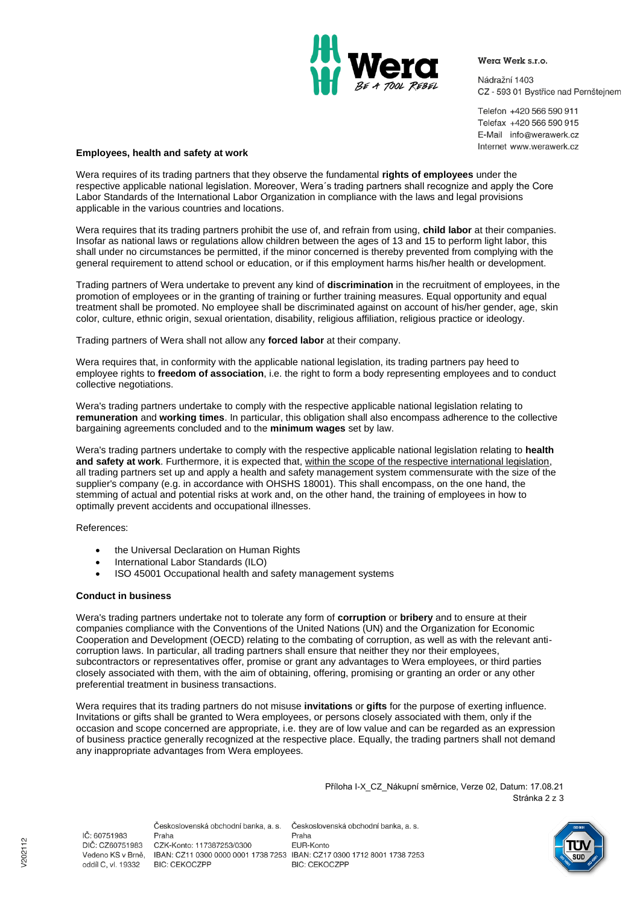

Wera Werk s.r.o.

Nádražní 1403 CZ - 593 01 Bystřice nad Pernštejnem

Telefon +420 566 590 911 Telefax +420 566 590 915 E-Mail info@werawerk.cz Internet www.werawerk.cz

### **Employees, health and safety at work**

Wera requires of its trading partners that they observe the fundamental **rights of employees** under the respective applicable national legislation. Moreover, Wera´s trading partners shall recognize and apply the Core Labor Standards of the International Labor Organization in compliance with the laws and legal provisions applicable in the various countries and locations.

Wera requires that its trading partners prohibit the use of, and refrain from using, **child labor** at their companies. Insofar as national laws or regulations allow children between the ages of 13 and 15 to perform light labor, this shall under no circumstances be permitted, if the minor concerned is thereby prevented from complying with the general requirement to attend school or education, or if this employment harms his/her health or development.

Trading partners of Wera undertake to prevent any kind of **discrimination** in the recruitment of employees, in the promotion of employees or in the granting of training or further training measures. Equal opportunity and equal treatment shall be promoted. No employee shall be discriminated against on account of his/her gender, age, skin color, culture, ethnic origin, sexual orientation, disability, religious affiliation, religious practice or ideology.

Trading partners of Wera shall not allow any **forced labor** at their company.

Wera requires that, in conformity with the applicable national legislation, its trading partners pay heed to employee rights to **freedom of association**, i.e. the right to form a body representing employees and to conduct collective negotiations.

Wera's trading partners undertake to comply with the respective applicable national legislation relating to **remuneration** and **working times**. In particular, this obligation shall also encompass adherence to the collective bargaining agreements concluded and to the **minimum wages** set by law.

Wera's trading partners undertake to comply with the respective applicable national legislation relating to **health and safety at work**. Furthermore, it is expected that, within the scope of the respective international legislation, all trading partners set up and apply a health and safety management system commensurate with the size of the supplier's company (e.g. in accordance with OHSHS 18001). This shall encompass, on the one hand, the stemming of actual and potential risks at work and, on the other hand, the training of employees in how to optimally prevent accidents and occupational illnesses.

References:

- the Universal Declaration on Human Rights
- International Labor Standards (ILO)
- ISO 45001 Occupational health and safety management systems

#### **Conduct in business**

Wera's trading partners undertake not to tolerate any form of **corruption** or **bribery** and to ensure at their companies compliance with the Conventions of the United Nations (UN) and the Organization for Economic Cooperation and Development (OECD) relating to the combating of corruption, as well as with the relevant anticorruption laws. In particular, all trading partners shall ensure that neither they nor their employees, subcontractors or representatives offer, promise or grant any advantages to Wera employees, or third parties closely associated with them, with the aim of obtaining, offering, promising or granting an order or any other preferential treatment in business transactions.

Wera requires that its trading partners do not misuse **invitations** or **gifts** for the purpose of exerting influence. Invitations or gifts shall be granted to Wera employees, or persons closely associated with them, only if the occasion and scope concerned are appropriate, i.e. they are of low value and can be regarded as an expression of business practice generally recognized at the respective place. Equally, the trading partners shall not demand any inappropriate advantages from Wera employees.

> Příloha I-X\_CZ\_Nákupní směrnice, Verze 02, Datum: 17.08.21 Stránka 2 z 3

Československá obchodní banka, a. s. IČ: 60751983 Praha DIČ: CZ60751983 CZK-Konto: 117387253/0300 oddíl C, vl. 19332 **BIC: CEKOCZPP** 

Československá obchodní banka, a. s. Praha EUR-Konto Vedeno KS v Brně, IBAN: CZ11 0300 0000 0001 1738 7253 IBAN: CZ17 0300 1712 8001 1738 7253 **BIC: CEKOCZPP**